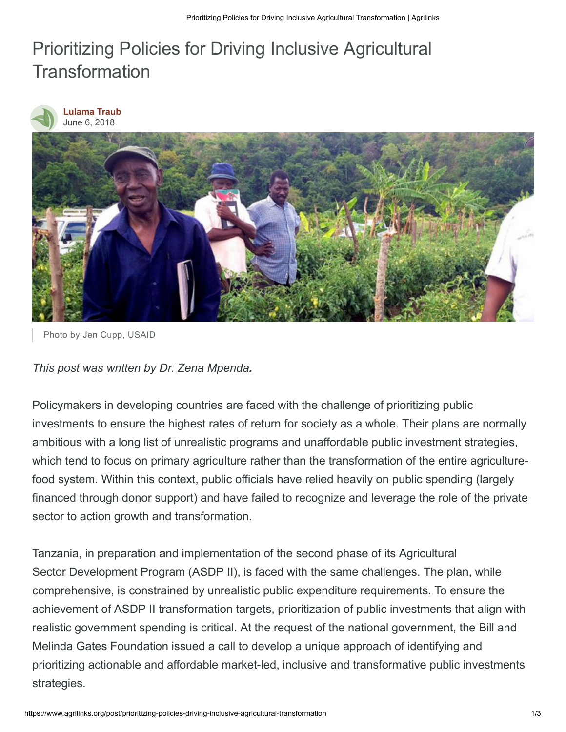## Prioritizing Policies for Driving Inclusive Agricultural **Transformation**



## **[Lulama Traub](https://www.agrilinks.org/users/traubl#profile-main)** June 6, 2018



Photo by Jen Cupp, USAID

*This post was written by Dr. Zena Mpenda.*

Policymakers in developing countries are faced with the challenge of prioritizing public investments to ensure the highest rates of return for society as a whole. Their plans are normally ambitious with a long list of unrealistic programs and unaffordable public investment strategies, which tend to focus on primary agriculture rather than the transformation of the entire agriculturefood system. Within this context, public officials have relied heavily on public spending (largely financed through donor support) and have failed to recognize and leverage the role of the private sector to action growth and transformation.

Tanzania, in preparation and implementation of the second phase of its Agricultural Sector Development Program (ASDP II), is faced with the same challenges. The plan, while comprehensive, is constrained by unrealistic public expenditure requirements. To ensure the achievement of ASDP II transformation targets, prioritization of public investments that align with realistic government spending is critical. At the request of the national government, the Bill and Melinda Gates Foundation issued a call to develop a unique approach of identifying and prioritizing actionable and affordable market-led, inclusive and transformative public investments strategies.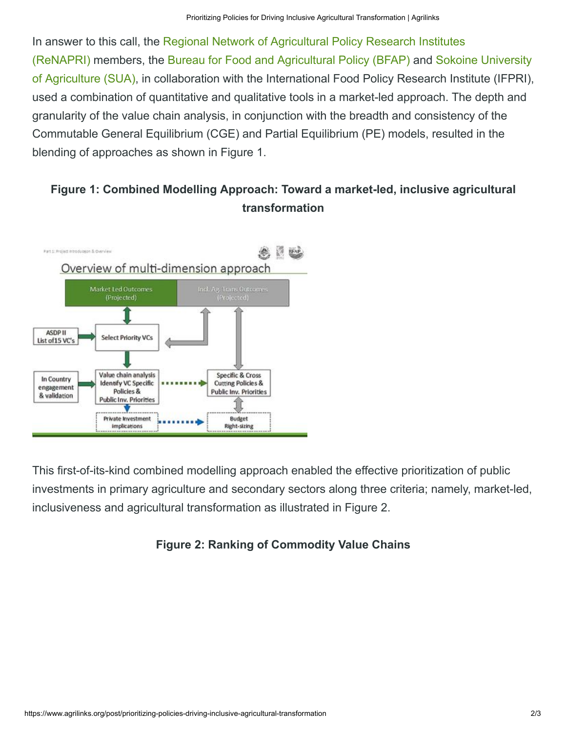In answer to this call, the Regional Network of Agricultural Policy Research Institutes [\(ReNAPRI\) members, the Bureau for Food and Agricultural Policy \(BFAP\) and Sokoin](http://www.renapri.org/)e University [of Agriculture \(SUA\), in collaboration with the International Food Policy Research Institute \(IFPRI\),](http://www.sua.ac.tz/) used a combination of quantitative and qualitative tools in a market-led approach. The depth and granularity of the value chain analysis, in conjunction with the breadth and consistency of the Commutable General Equilibrium (CGE) and Partial Equilibrium (PE) models, resulted in the blending of approaches as shown in Figure 1.

## **Figure 1: Combined Modelling Approach: Toward a market-led, inclusive agricultural transformation**



This first-of-its-kind combined modelling approach enabled the effective prioritization of public investments in primary agriculture and secondary sectors along three criteria; namely, market-led, inclusiveness and agricultural transformation as illustrated in Figure 2.

## **Figure 2: Ranking of Commodity Value Chains**